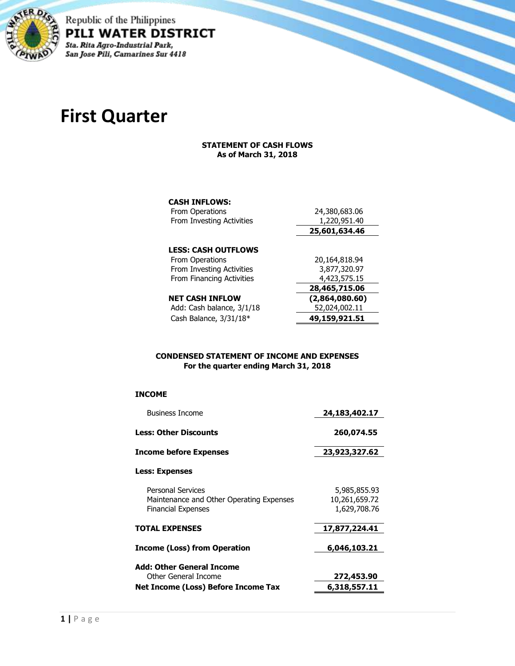

Republic of the Philippines PILI WATER DISTRICT Sta. Rita Agro-Industrial Park, San Jose Pili, Camarines Sur 4418

# **First Quarter**

#### **STATEMENT OF CASH FLOWS As of March 31, 2018**

### **CASH INFLOWS:**

| From Operations            | 24,380,683.06  |
|----------------------------|----------------|
| From Investing Activities  | 1,220,951.40   |
|                            | 25,601,634.46  |
| <b>LESS: CASH OUTFLOWS</b> |                |
| From Operations            | 20,164,818.94  |
| From Investing Activities  | 3,877,320.97   |
| From Financing Activities  | 4,423,575.15   |
|                            | 28,465,715.06  |
| <b>NET CASH INFLOW</b>     | (2,864,080.60) |
| Add: Cash balance, 3/1/18  | 52,024,002.11  |
| Cash Balance, 3/31/18*     | 49,159,921.51  |
|                            |                |

#### **CONDENSED STATEMENT OF INCOME AND EXPENSES For the quarter ending March 31, 2018**

#### **INCOME**

| <b>Business Income</b>                                                                            | 24,183,402.17                                 |
|---------------------------------------------------------------------------------------------------|-----------------------------------------------|
| <b>Less: Other Discounts</b>                                                                      | 260,074.55                                    |
| <b>Income before Expenses</b>                                                                     | 23,923,327.62                                 |
| Less: Expenses                                                                                    |                                               |
| <b>Personal Services</b><br>Maintenance and Other Operating Expenses<br><b>Financial Expenses</b> | 5,985,855.93<br>10,261,659.72<br>1,629,708.76 |
| <b>TOTAL EXPENSES</b>                                                                             | 17,877,224.41                                 |
| Income (Loss) from Operation                                                                      | 6,046,103.21                                  |
| Add: Other General Income<br>Other General Income                                                 | 272,453.90                                    |
| Net Income (Loss) Before Income Tax                                                               | 6,318,557.11                                  |